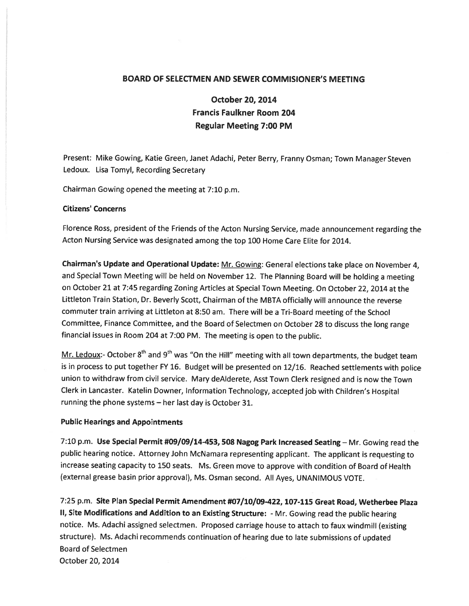# BOARD OF SELECTMEN AND SEWER COMMISIONER'S MEETING

October 20, 2014 Francis Faulkner Room 204 Regular Meeting 7:00 PM

Present: Mike Gowing, Katie Green, Janet Adachi, Peter Berry, Franny Osman; Town Manager Steven Ledoux. Lisa Tomyl, Recording Secretary

Chairman Gowing opened the meeting at 7:10 p.m.

### Citizens' Concerns

Florence Ross, president of the Friends of the Acton Nursing Service, made announcement regarding the Acton Nursing Service was designated among the top <sup>100</sup> Home Care Elite for 2014.

Chairman's Update and Operational Update: Mr. Gowing: General elections take <sup>p</sup>lace on November 4, and Special Town Meeting will be held on November 12. The Planning Board will be holding <sup>a</sup> meeting on October <sup>21</sup> at 7:45 regarding Zoning Articles at Special Town Meeting. On October 22, <sup>2014</sup> at the Littleton Train Station, Dr. Beverly Scott, Chairman of the MBTA officially will announce the reverse commuter train arriving at Littleton at 8:50 am. There will be a Tri-Board meeting of the School Committee, Finance Committee, and the Board of Selectmen on October28 to discuss the long range financial issues in Room <sup>204</sup> at 7:00 PM. The meeting is open to the public.

Mr. Ledoux:- October 8<sup>th</sup> and 9<sup>th</sup> was "On the Hill" meeting with all town departments, the budget team is in process to pu<sup>t</sup> together FY 16. Budget will be presented on 12/16. Reached settlements with police union to withdraw from civil service. Mary deAlderete, Asst Town Clerk resigned and is now the Town Clerk in Lancaster. Katelin Downer, Information Technology, accepted job with Children's Hospital running the <sup>p</sup>hone systems — her last day is October 31.

#### Public Hearings and Appointments

7:10 p.m. Use Special Permit #09/09/14-453, <sup>508</sup> Nagog Park Increased Seating — Mr. Gowing read the public hearing notice. Attorney John McNamara representing applicant. The applicant is requesting to increase seating capacity to <sup>150</sup> seats. Ms. Green move to approve with condition of Board of Health (external grease basin prior approval), Ms. Osman second. All Ayes, UNANIMOUS VOTE.

7:25 p.m. Site Plan Special Permit Amendment #07/10/09-422, 107-115 Great Road, Wetherbee Plaza II, Site Modifications and Addition to an Existing Structure: - Mr. Gowing read the public hearing notice. Ms. Adachi assigned selectmen. Proposed carriage house to attach to faux windmill (existing structure). Ms. Adachi recommends continuation of hearing due to late submissions of updated Board of Selectmen October 20, 2014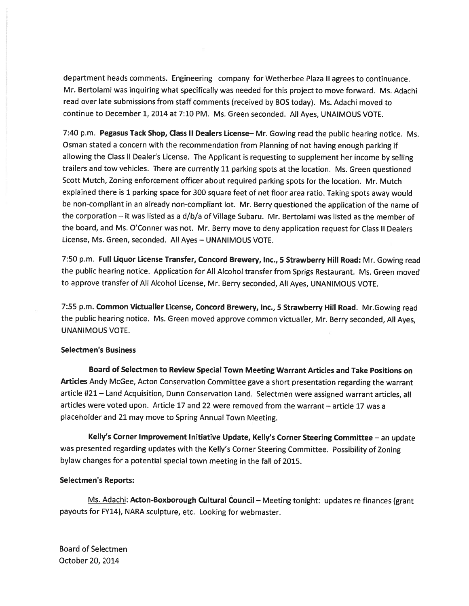department heads comments. Engineering company for Wetherbee Plaza II agrees to continuance. Mr. Bertolami was inquiring what specifically was needed for this project to move forward. Ms. Adachi read over late submissions from staff comments (received by BOS today). Ms. Adachi moved to continue to December 1, <sup>2014</sup> at 7:10 PM. Ms. Green seconded. All Ayes, UNAIMOUS VOTE.

7:40 p.m. Pegasus Tack Shop, Class II Dealers License— Mr. Gowing read the public hearing notice. Ms. Osman stated <sup>a</sup> concern with the recommendation from Planning of not having enoug<sup>h</sup> parking if allowing the Class II Dealer's License. The Applicant is requesting to supplement her income by selling trailers and tow vehicles. There are currently <sup>11</sup> parking spots at the location. Ms. Green questioned Scott Mutch, Zoning enforcement officer about required parking spots for the location. Mr. Mutch explained there is <sup>1</sup> parking space for <sup>300</sup> square feet of net floor area ratio. Taking spots away would be non-compliant in an already non-compliant lot. Mr. Berry questioned the application of the name of the corporation — it was listed as <sup>a</sup> d/b/a of Village Subaru. Mr. Bertolami was listed as the member of the board, and Ms. O'Conner was not. Mr. Berry move to deny application reques<sup>t</sup> for Class II Dealers License, Ms. Green, seconded. All Ayes — UNANIMOUS VOTE.

7:50 p.m. Full liquor License Transfer, Concord Brewery, Inc., <sup>5</sup> Strawberry Hill Road: Mr. Gowing read the public hearing notice. Application for All Alcohol transfer from Sprigs Restaurant. Ms. Green moved to approve transfer of All Alcohol License, Mr. Berry seconded, All Ayes, UNANIMOUS VOTE.

7:55 p.m. Common Victualler License, Concord Brewery, Inc., <sup>5</sup> Strawberry Hill Road. Mr.Gowing read the public hearing notice. Ms. Green moved approve common victualler, Mr. Berry seconded, All Ayes, UNANIMOUS VOTE.

#### Selectmen's Business

Board of Selectmen to Review Special Town Meeting Warrant Articles and Take Positions on Articles Andy McGee, Acton Conservation Committee gave <sup>a</sup> short presentation regarding the warrant article #21 - Land Acquisition, Dunn Conservation Land. Selectmen were assigned warrant articles, all articles were voted upon. Article 17 and 22 were removed from the warrant — article 17 was <sup>a</sup> <sup>p</sup>laceholder and <sup>21</sup> may move to Spring Annual Town Meeting.

Kelly's Corner Improvement Initiative Update, Kelly's Corner Steering Committee - an update was presented regarding updates with the Kelly's Corner Steering Committee. Possibility of Zoning bylaw changes for <sup>a</sup> potential special town meeting in the fall of 2015.

## Selectmen's Reports:

Ms. Adachi: Acton-Boxborough Cultural Council – Meeting tonight: updates re finances (grant payouts for FY14), NARA sculpture, etc. Looking for webmaster.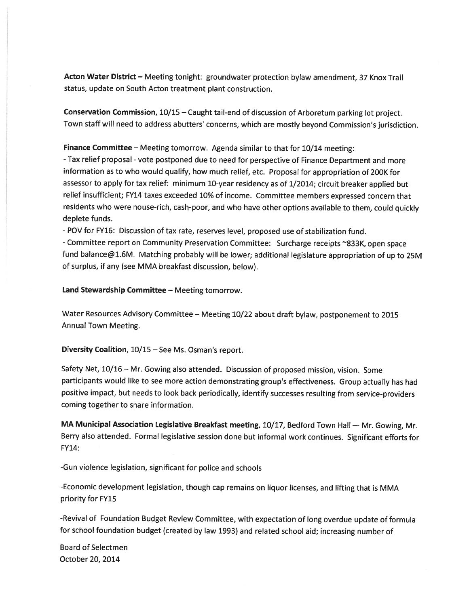Acton Water District — Meeting tonight: groundwater protection bylaw amendment, 37 Knox Trail status, update on South Acton treatment plant construction.

Conservation Commission, 10/15 — Caught tail-end of discussion of Arboretum parking lot project. Town staff will need to address abutters' concerns, which are mostly beyond Commission's jurisdiction.

Finance Committee — Meeting tomorrow. Agenda similar to that for 10/14 meeting:

- Tax relief proposal - vote postponed due to need for perspective of Finance Department and more information as to who would qualify, how much relief, etc. Proposal for appropriation of 200K for assessor to apply for tax relief: minimum 10-year residency as of 1/2014; circuit breaker applied but relief insufficient; FY14 taxes exceeded 10% of income. Committee members expresse<sup>d</sup> concern that residents who were house-rich, cash-poor, and who have other options available to them, could quickly deplete funds.

- POV for FY16: Discussion of tax rate, reserves level, propose<sup>d</sup> use of stabilization fund.

-Committee repor<sup>t</sup> on Community Preservation Committee: Surcharge receipts "833K, open space fund balance@1.6M. Matching probably will be lower; additional legislature appropriation of up to 25M of surplus, if any (see MMA breakfast discussion, below).

Land Stewardship Committee — Meeting tomorrow.

Water Resources Advisory Committee — Meeting 10/22 about draft bylaw, postponement to <sup>2015</sup> Annual Town Meeting.

Diversity Coalition, 10/15 — See Ms. Osman's report.

Safety Net, 10/16 — Mr. Gowing also attended. Discussion of propose<sup>d</sup> mission, vision. Some participants would like to see more action demonstrating group's effectiveness. Group actually has had positive impact, but needs to look back periodically, identify successes resulting from service-providers coming together to share information.

MA Municipal Association Legislative Breakfast meeting, 10/17, Bedford Town Hall — Mr. Gowing, Mr. Berry also attended. Formal legislative session done but informal work continues. Significant efforts for FY14:

-Gun violence legislation, significant for police and schools

-Economic development legislation, though cap remains on liquor licenses, and lifting that is MMA priority for FY15

-Revival of Foundation Budget Review Committee, with expectation of long overdue update of formula for school foundation budget (created by law 1993) and related school aid; increasing number of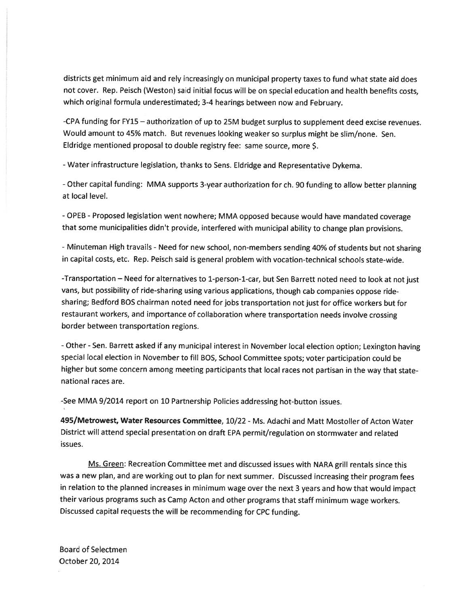districts ge<sup>t</sup> minimum aid and rely increasingly on municipal property taxes to fund what state aid does not cover. Rep. Peisch (Weston) said initial focus will be on special education and health benefits costs, which original formula underestimated; 3-4 hearings between now and February.

-CPA funding for FY15 — authorization of up to 25M budget surplus to supplement deed excise revenues. Would amount to 45% match. But revenues looking weaker so surplus might be slim/none. Sen. Eldridge mentioned proposa<sup>l</sup> to double registry fee: same source, more \$.

-Water infrastructure legislation, thanks to Sens. Eldridge and Representative Dykema.

-Other capital funding: MMA supports 3-year authorization for ch. <sup>90</sup> funding to allow better <sup>p</sup>lanning at local level.

- OPEB -Proposed legislation went nowhere; MMA oppose<sup>d</sup> because would have mandated coverage that some municipalities didn't provide, interfered with municipal ability to change <sup>p</sup>lan provisions.

- Minuteman High travails - Need for new school, non-members sending 40% of students but not sharing in capital costs, etc. Rep. Peisch said is genera<sup>l</sup> problem with vocation-technical schools state-wide.

-Transportation - Need for alternatives to 1-person-1-car, but Sen Barrett noted need to look at not just vans, but possibility of ride-sharing using various applications, though cab companies oppose ridesharing; Bedford BOS chairman noted need for jobs transportation not just for office workers but for restaurant workers, and importance of collaboration where transportation needs involve crossing border between transportation regions.

-Other -Sen. Barrett asked if any municipal interest in November local election option; Lexington having special local election in November to fill BOS, School Committee spots; voter participation could be higher but some concern among meeting participants that local races not partisan in the way that statenational races are.

-See MMA 9/2014 repor<sup>t</sup> on 10 Partnership Policies addressing hot-button issues.

495/Metrowest, Water Resources Committee, 10/22 - Ms. Adachi and Matt Mostoller of Acton Water District will attend special presentation on draft EPA permit/regulation on stormwater and related issues.

Ms. Green: Recreation Committee met and discussed issues with NARA grill rentals since this was <sup>a</sup> new <sup>p</sup>lan, and are working out to <sup>p</sup>lan for next summer. Discussed increasing their program fees in relation to the <sup>p</sup>lanned increases in minimum wage over the next <sup>3</sup> years and how that would impact their various programs such as Camp Acton and other programs that staff minimum wage workers. Discussed capital requests the will be recommending for CPC funding.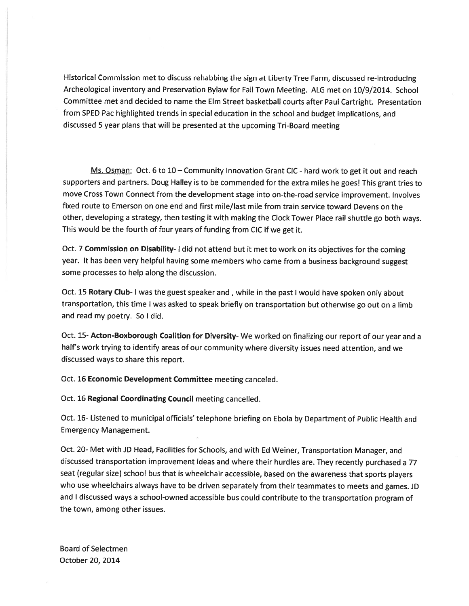Historical Commission met to discuss rehabbing the sign at Liberty Tree Farm, discussed re-introducing Archeological inventory and Preservation Bylaw for Fall Town Meeting. ALG met on 10/9/2014. School Committee met and decided to name the Elm Street basketball courts after Paul Cartright. Presentation from SPED Pac highlighted trends in special education in the school and budget implications, and discussed 5 year plans that will be presented at the upcoming Tri-Board meeting

Ms. Osman: Oct. 6 to 10 – Community Innovation Grant CIC - hard work to get it out and reach supporters and partners. Doug Halley is to be commended for the extra miles he goes! This gran<sup>t</sup> tries to move Cross Town Connect from the development stage into on-the-road service improvement. Involves fixed route to Emerson on one end and first mile/last mile from train service toward Devens on the other, developing <sup>a</sup> strategy, then testing it with making the Clock Tower Place rail shuttle go both ways. This would be the fourth of four years of funding from CIC if we ge<sup>t</sup> it.

Oct. 7 Commission on Disability- I did not attend but it met to work on its objectives for the coming year. It has been very helpful having some members who came from <sup>a</sup> business background sugges<sup>t</sup> some processes to help along the discussion.

Oct. 15 Rotary Club- I was the guest speaker and, while in the past I would have spoken only about transportation, this time <sup>I</sup> was asked to spea<sup>k</sup> briefly on transportation but otherwise go out on <sup>a</sup> limb and read my poetry. So I did.

Oct. 15- Acton-Boxborough Coalition for Diversity- We worked on finalizing our report of our year and a half's work trying to identify areas of our community where diversity issues need attention, and we discussed ways to share this report.

Oct. 16 Economic Development Committee meeting canceled.

Oct. 16 Regional Coordinating Council meeting cancelled.

Oct. 16- Listened to municipal officials' telephone briefing on Ebola by Department of Public Health and Emergency Management.

Oct. 20- Met with JD Head, Facilities for Schools, and with Ed Weiner, Transportation Manager, and discussed transportation improvement ideas and where their hurdles are. They recently purchased <sup>a</sup> <sup>77</sup> seat (regular size) school bus that is wheelchair accessible, based on the awareness that sports <sup>p</sup>layers who use wheelchairs always have to be driven separately from their teammates to meets and games. JD and <sup>I</sup> discussed ways <sup>a</sup> school-owned accessible bus could contribute to the transportation program of the town, among other issues.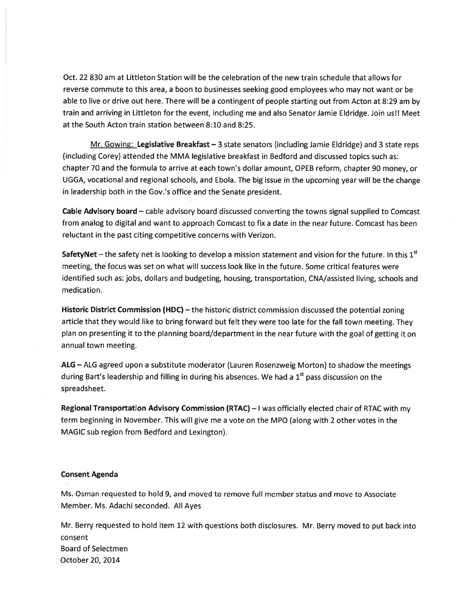Oct. 22 830 am at Littleton Station will be the celebration of the new train schedule that allows for reverse commute to this area, <sup>a</sup> boon to businesses seeking good employees who may not want or be able to live or drive out here. There will be <sup>a</sup> contingent of people starting out from Acton at 8:29 am by train and arriving in Littleton for the event, including me and also Senator Jamie Eldridge. Join us!! Meet at the South Acton train station between 8:10 and 8:25.

Mr. Gowing: Legislative Breakfast – 3 state senators (including Jamie Eldridge) and 3 state reps (including Corey) attended the MMA legislative breakfast in Bedford and discussed topics such as: chapter 70 and the formula to arrive at each town's dollar amount, OPEB reform, chapter 90 money, or UGGA, vocational and regional schools, and Ebola. The big issue in the upcoming year will be the change in leadership both in the Gov.'s office and the Senate president.

Cable Advisory board — cable advisory board discussed converting the towns signal supplied to Comcast from analog to digital and want to approach Comcast to fix <sup>a</sup> date in the near future. Comcast has been reluctant in the pas<sup>t</sup> citing competitive concerns with Verizon.

**SafetyNet** – the safety net is looking to develop a mission statement and vision for the future. In this  $1<sup>st</sup>$ meeting, the focus was set on what will success look like in the future. Some critical features were identified such as: jobs, dollars and budgeting, housing, transportation, CNA/assisted living, schools and medication.

Historic District Commission (HDC) — the historic district commission discussed the potential zoning article that they would like to bring forward but felt they were too late for the fall town meeting. They <sup>p</sup>lan on presenting it to the <sup>p</sup>lanning board/department in the near future with the goa<sup>l</sup> of getting it on annual town meeting.

ALG — ALG agreed upon <sup>a</sup> substitute moderator (Lauren Rosenzweig Morton) to shadow the meetings during Bart's leadership and filling in during his absences. We had a  $1<sup>st</sup>$  pass discussion on the spreadsheet.

Regional Transportation Advisory Commission (RTAC) — <sup>I</sup> was officially elected chair of RTAC with my term beginning in November. This will give me <sup>a</sup> vote on the MPO (along with 2 other votes in the MAGIC sub region from Bedford and Lexington).

## Consent Agenda

Ms. Osman requested to hold 9, and moved to remove full member status and move to Associate Member. Ms. Adachi seconded. All Ayes

Mr. Berry requested to hold item 12 with questions both disclosures. Mr. Berry moved to pu<sup>t</sup> back into consent Board of Selectmen October 20, 2014